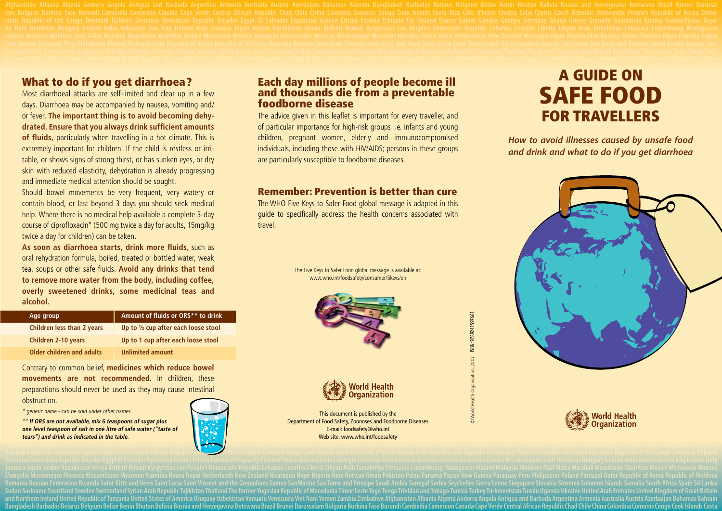### What to do if you get diarrhoea?

Most diarrhoeal attacks are self-limited and clear up in a few days. Diarrhoea may be accompanied by nausea, vomiting and/ or fever. **The important thing is to avoid becoming dehydrated. Ensure that you always drink sufficient amounts of fluids,** particularly when travelling in a hot climate. This is extremely important for children. If the child is restless or irritable, or shows signs of strong thirst, or has sunken eyes, or dry skin with reduced elasticity, dehydration is already progressing and immediate medical attention should be sought.

Should bowel movements be very frequent, very watery or contain blood, or last beyond 3 days you should seek medical help. Where there is no medical help available a complete 3-day course of ciprofloxacin\* (500 mg twice a day for adults, 15mg/kg twice a day for children) can be taken.

**As soon as diarrhoea starts, drink more fluids**, such as oral rehydration formula, boiled, treated or bottled water, weak tea, soups or other safe fluids. **Avoid any drinks that tend to remove more water from the body, including coffee, overly sweetened drinks, some medicinal teas and alcohol.**

| Age group                         | Amount of fluids or ORS** to drink             |
|-----------------------------------|------------------------------------------------|
| <b>Children less than 2 years</b> | Up to $\frac{1}{2}$ cup after each loose stool |
| <b>Children 2-10 years</b>        | Up to 1 cup after each loose stool             |
| <b>Older children and adults</b>  | <b>Unlimited amount</b>                        |

Contrary to common belief, **medicines which reduce bowel movements are not recommended.** In children, these preparations should never be used as they may cause intestinal obstruction.

\* generic name - can be sold under other names

\*\* **If ORS are not available, mix 6 teaspoons of sugar plus one level teaspoon of salt in one litre of safe water ("taste of tears") and drink as indicated in the table.**



#### Each day millions of people become ill and thousands die from a preventable foodborne disease

The advice given in this leaflet is important for every traveller, and of particular importance for high-risk groups i.e. infants and young children, pregnant women, elderly and immunocompromised individuals, including those with HIV/AIDS; persons in these groups are particularly susceptible to foodborne diseases.

#### Remember: Prevention is better than cure

The WHO Five Keys to Safer Food global message is adapted in this guide to specifically address the health concerns associated with travel.

> The Five Keys to Safer Food global message is available at: www.who.int/foodsafety/consumer/5keys/en





This document is published by the Department of Food Safety, Zoonoses and Foodborne Diseases E-mail: foodsafety@who.int Web site: www.who.int/foodsafety

# A GuidE on SAfE food foR TRAvEllERS

*How to avoid illnesses caused by unsafe food and drink and what to do if you get diarrhoea*





Romania Russian Federation Rwanda Saint Kitts and Nevis Saint Lucia Saint Uncent and the Grenadines Samoa SanMarino Sao Tome and Principe Saudi Arabia Senegal Serbia Seychelles Sierra Leone Singapore Slovakia Slovenia Solo Sudan Suriname Swaziland Sweden Switzerland Syrian Arab Republic Tajikistan Thailand The former Yugoslav Republic of Macedonia Timor Leste Togo Tonga Trinidad and Tobago Tunisia Turkey Turkmenistan Tuvalu Uganda Ukraine Un and Northern Ireland United Republic of Tanzania United States of America Uruguay Uzbekistan Vanuatu Venezuela Viet Nam Yemen Zambia Zimbabwe Afghanistan Albania Algeria Andorra Angola Antigua and Barbuda Argentina Armenia Contains are not recommended. In children, these<br>
propagations should here be used as they may cause intestinal<br>
throw and the children in the children of the children interest of the children interest and the children int As proud the share  $\sqrt{2}$  and the share  $\sqrt{2}$  and the share  $\sqrt{2}$  and the share  $\sqrt{2}$  and the share  $\sqrt{2}$  and the share  $\sqrt{2}$  and the share  $\sqrt{2}$  and the share  $\sqrt{2}$  and the share  $\sqrt{2}$  and the share  $\sqrt{2$